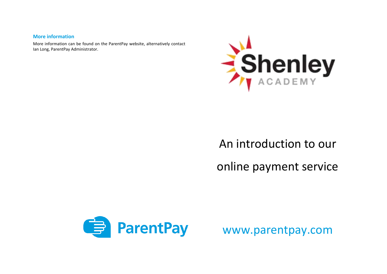### **More information**

 More information can be found on the ParentPay website, alternatively contact Ian Long, ParentPay Administrator.



# An introduction to our online payment service



www.parentpay.com